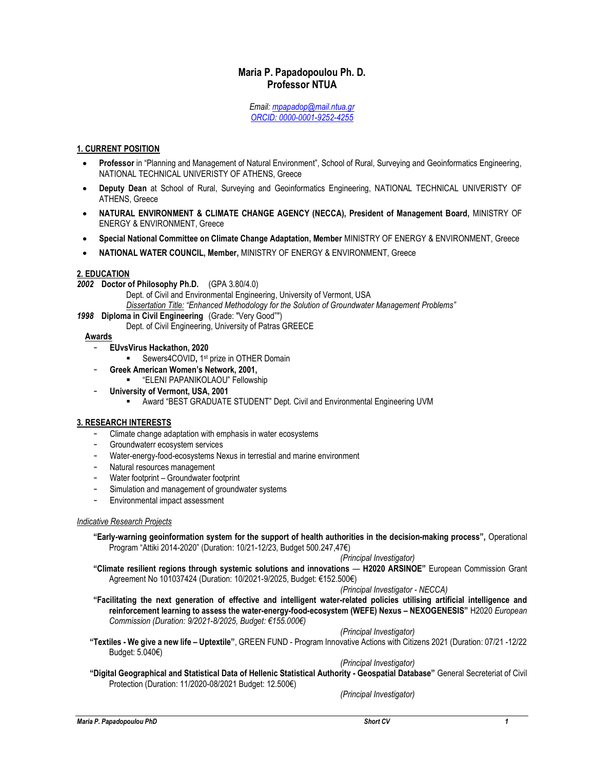# Maria P. Papadopoulou Ph. D. Professor NTUA

Email: mpapadop@mail.ntua.gr ORCID: 0000-0001-9252-4255

### 1. CURRENT POSITION

- Professor in "Planning and Management of Natural Environment", School of Rural, Surveying and Geoinformatics Engineering, NATIONAL TECHNICAL UNIVERISTY OF ATHENS, Greece
- Deputy Dean at School of Rural, Surveying and Geoinformatics Engineering, NATIONAL TECHNICAL UNIVERISTY OF ATHENS, Greece
- NATURAL ENVIRONMENT & CLIMATE CHANGE AGENCY (NECCA), President of Management Board, MINISTRY OF ENERGY & ENVIRONMENT, Greece
- Special National Committee on Climate Change Adaptation, Member MINISTRY OF ENERGY & ENVIRONMENT, Greece
- NATIONAL WATER COUNCIL, Member, MINISTRY OF ENERGY & ENVIRONMENT, Greece

### 2. EDUCATION

2002 Doctor of Philosophy Ph.D. (GPA 3.80/4.0)

- Dept. of Civil and Environmental Engineering, University of Vermont, USA
- Dissertation Title: "Enhanced Methodology for the Solution of Groundwater Management Problems"
- 1998 Diploma in Civil Engineering (Grade: "Very Good"")
	- Dept. of Civil Engineering, University of Patras GREECE

### Awards

- EUvsVirus Hackathon, 2020
	- **Sewers4COVID, 1st prize in OTHER Domain**
- Greek American Women's Network, 2001,
	- "ELENI PAPANIKOLAOU" Fellowship
- University of Vermont, USA, 2001
	- Award "BEST GRADUATE STUDENT" Dept. Civil and Environmental Engineering UVM

# 3. RESEARCH INTERESTS

- Climate change adaptation with emphasis in water ecosystems
- Groundwaterr ecosystem services
- Water-energy-food-ecosystems Nexus in terrestial and marine environment
- Natural resources management
- Water footprint Groundwater footprint
- Simulation and management of groundwater systems
- Environmental impact assessment

### Indicative Research Projects

"Early-warning geoinformation system for the support of health authorities in the decision-making process", Operational Program "Attiki 2014-2020" (Duration: 10/21-12/23, Budget 500.247,47€)

```
(Principal Investigator)
```
"Climate resilient regions through systemic solutions and innovations — H2020 ARSINOE" European Commission Grant Agreement No 101037424 (Duration: 10/2021-9/2025, Budget: €152.500€)

(Principal Investigator - NECCA)

"Facilitating the next generation of effective and intelligent water-related policies utilising artificial intelligence and reinforcement learning to assess the water-energy-food-ecosystem (WEFE) Νexus – NEXOGENESIS" H2020 European Commission (Duration: 9/2021-8/2025, Budget: €155.000€)

# (Principal Investigator)

"Textiles - We give a new life – Uptextile", GREEN FUND - Program Innovative Actions with Citizens 2021 (Duration: 07/21 -12/22 Budget: 5.040€)

(Principal Investigator)

"Digital Geographical and Statistical Data of Hellenic Statistical Authority - Geospatial Database" General Secreteriat of Civil Protection (Duration: 11/2020-08/2021 Budget: 12.500€)

(Principal Investigator)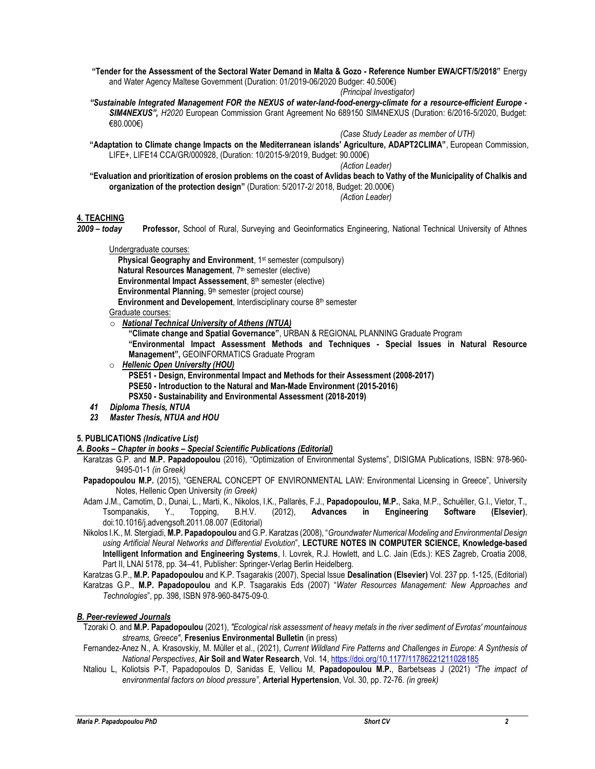"Tender for the Assessment of the Sectoral Water Demand in Malta & Gozo - Reference Number EWA/CFT/5/2018" Energy and Water Agency Maltese Government (Duration: 01/2019-06/2020 Budger: 40.500€)

(Principal Investigator)

"Sustainable Integrated Management FOR the NEXUS of water-land-food-energy-climate for a resource-efficient Europe - SIM4NEXUS", H2020 European Commission Grant Agreement No 689150 SIM4NEXUS (Duration: 6/2016-5/2020, Budget: €80.000€)

(Case Study Leader as member of UTH)

"Adaptation to Climate change Impacts on the Mediterranean islands' Agriculture, ADAPT2CLIMA", European Commission, LIFE+, LIFE14 CCA/GR/000928, (Duration: 10/2015-9/2019, Budget: 90.000€)

(Action Leader)

"Evaluation and prioritization of erosion problems on the coast of Avlidas beach to Vathy of the Municipality of Chalkis and organization of the protection design" (Duration: 5/2017-2/ 2018, Budget: 20.000€)

(Action Leader)

### 4. TEACHING

2009 - today Professor, School of Rural, Surveying and Geoinformatics Engineering, National Technical University of Athnes

Undergraduate courses:

Physical Geography and Environment, 1<sup>st</sup> semester (compulsory) Natural Resources Management, 7<sup>th</sup> semester (elective) Environmental Impact Assessement, 8<sup>th</sup> semester (elective) Environmental Planning, 9<sup>th</sup> semester (project course) Environment and Developement, Interdisciplinary course 8<sup>th</sup> semester

Graduate courses:

o National Technical University of Athens (NTUA)

"Climate change and Spatial Governance", URBAN & REGIONAL PLANNING Graduate Program "Environmental Impact Assessment Methods and Techniques - Special Issues in Natural Resource

- Management", GEOINFORMATICS Graduate Program
- o Hellenic Open UniversIty (HOU)

PSE51 - Design, Environmental Impact and Methods for their Assessment (2008-2017) PSE50 - Introduction to the Natural and Man-Made Environment (2015-2016) PSX50 - Sustainability and Environmental Assessment (2018-2019)

- 41 Diploma Thesis, NTUA
- 23 Master Thesis, NTUA and HOU

# 5. PUBLICATIONS (Indicative List)

### Α. Books – Chapter in books – Special Scientific Publications (Editorial)

- Karatzas G.P. and M.P. Papadopoulou (2016), "Optimization of Environmental Systems", DISIGMA Publications, ISBN: 978-960-9495-01-1 (in Greek)
- Papadopoulou M.P. (2015), "GENERAL CONCEPT OF ENVIRONMENTAL LAW: Environmental Licensing in Greece", University Notes, Hellenic Open University (in Greek)
- Adam J.M., Camotim, D., Dunai, L., Marti, K., Nikolos, I.K., Pallarés, F.J., Papadopoulou, M.P., Saka, M.P., Schuëller, G.I., Vietor, T., Tsompanakis, Y., Topping, B.H.V. (2012), Advances in Engineering Software (Elsevier), doi:10.1016/j.advengsoft.2011.08.007 (Editorial)
- Nikolos I.K., M. Stergiadi, M.P. Papadopoulou and G.P. Karatzas (2008), "Groundwater Numerical Modeling and Environmental Design using Artificial Neural Networks and Differential Evolution", LECTURE NOTES IN COMPUTER SCIENCE, Knowledge-based Intelligent Information and Engineering Systems, I. Lovrek, R.J. Howlett, and L.C. Jain (Eds.): KES Zagreb, Croatia 2008, Part II, LNAI 5178, pp. 34–41, Publisher: Springer-Verlag Berlin Heidelberg.

Karatzas G.P., M.P. Papadopoulou and K.P. Tsagarakis (2007), Special Issue Desalination (Elsevier) Vol. 237 pp. 1-125, (Editorial) Karatzas G.P., M.P. Papadopoulou and K.P. Tsagarakis Eds (2007) "Water Resources Management: New Approaches and

Technologies", pp. 398, ISBN 978-960-8475-09-0.

# Β. Peer-reviewed Journals

- Tzoraki O. and M.P. Papadopoulou (2021), "Ecological risk assessment of heavy metals in the river sediment of Evrotas' mountainous streams, Greece", Fresenius Environmental Bulletin (in press)
- Fernandez-Anez N., A. Krasovskiy, M. Müller et al., (2021), Current Wildland Fire Patterns and Challenges in Europe: A Synthesis of National Perspectives, Air Soil and Water Research, Vol. 14, https://doi.org/10.1177/11786221211028185
- Ntaliou L, Koliotsis P-T, Papadopoulos D, Sanidas E, Velliou M, Papadopoulou M.P., Barbetseas J (2021) "The impact of environmental factors on blood pressure", **Arterial Hypertension**, Vol. 30, pp. 72-76. (in greek)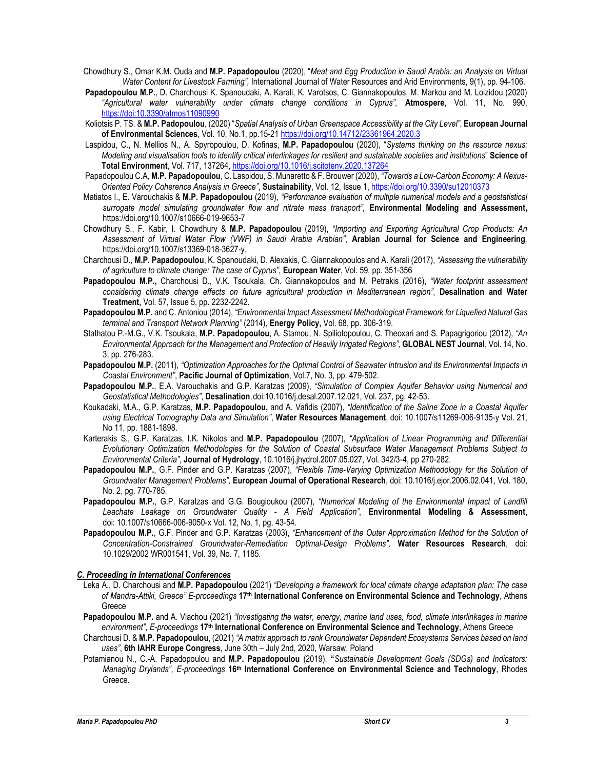- Chowdhury S., Omar K.M. Ouda and M.P. Papadopoulou (2020), "Meat and Egg Production in Saudi Arabia: an Analysis on Virtual Water Content for Livestock Farming", International Journal of Water Resources and Arid Environments, 9(1), pp. 94-106.
- Papadopoulou M.P., D. Charchousi K. Spanoudaki, A. Karali, K. Varotsos, C. Giannakopoulos, M. Markou and M. Loizidou (2020) "Agricultural water vulnerability under climate change conditions in Cyprus", Atmospere, Vol. 11, No. 990, https://doi:10.3390/atmos11090990
- Koliotsis P. TS. & M.P. Padopoulou, (2020) "Spatial Analysis of Urban Greenspace Accessibility at the City Level", European Journal of Environmental Sciences, Vol. 10, No.1, pp.15-21 https://doi.org/10.14712/23361964.2020.3
- Laspidou, C., N. Mellios N., A. Spyropoulou, D. Kofinas, M.P. Papadopoulou (2020), "Systems thinking on the resource nexus: Modeling and visualisation tools to identify critical interlinkages for resilient and sustainable societies and institutions" Science of Total Environment, Vol. 717, 137264, https://doi.org/10.1016/j.scitotenv.2020.137264
- Papadopoulou C.A, M.P. Papadopoulou, C. Laspidou, S. Munaretto & F. Brouwer (2020), "Towards a Low-Carbon Economy: A Nexus-Oriented Policy Coherence Analysis in Greece", Sustainability, Vol. 12, Issue 1, https://doi.org/10.3390/su12010373
- Matiatos I., E. Varouchakis & M.P. Papadopoulou (2019), "Performance evaluation of multiple numerical models and a geostatistical surrogate model simulating groundwater flow and nitrate mass transport", Environmental Modeling and Assessment, https://doi.org/10.1007/s10666-019-9653-7
- Chowdhury S., F. Kabir, I. Chowdhury & M.P. Papadopoulou (2019), "Importing and Exporting Agricultural Crop Products: An Assessment of Virtual Water Flow (VWF) in Saudi Arabia Arabian", Arabian Journal for Science and Engineering, https://doi.org/10.1007/s13369-018-3627-y.
- Charchousi D., M.P. Papadopoulou, K. Spanoudaki, D. Alexakis, C. Giannakopoulos and A. Karali (2017), "Assessing the vulnerability of agriculture to climate change: The case of Cyprus", European Water, Vol. 59, pp. 351-356
- Papadopoulou M.P., Charchousi D., V.K. Tsoukala, Ch. Giannakopoulos and M. Petrakis (2016), "Water footprint assessment considering climate change effects on future agricultural production in Mediterranean region", Desalination and Water Treatment, Vol. 57, Issue 5, pp. 2232-2242.
- Papadopoulou M.P. and C. Antoniou (2014), "Environmental Impact Assessment Methodological Framework for Liquefied Natural Gas terminal and Transport Network Planning" (2014), Energy Policy, Vol. 68, pp. 306-319.
- Stathatou P.-M.G., V.K. Tsoukala, M.P. Papadopoulou, A. Stamou, N. Spiliotopoulou, C. Theoxari and S. Papagrigoriou (2012), "An Environmental Approach for the Management and Protection of Heavily Irrigated Regions", GLOBAL NEST Journal, Vol. 14, No. 3, pp. 276-283.
- Papadopoulou M.P. (2011), "Optimization Approaches for the Optimal Control of Seawater Intrusion and its Environmental Impacts in Coastal Environment", Pacific Journal of Optimization, Vol.7, No. 3, pp. 479-502.
- Papadopoulou M.P., E.A. Varouchakis and G.P. Karatzas (2009), "Simulation of Complex Aquifer Behavior using Numerical and Geostatistical Methodologies", Desalination, doi:10.1016/j.desal.2007.12.021, Vol. 237, pg. 42-53.
- Koukadaki, M.A., G.P. Karatzas, M.P. Papadopoulou, and A. Vafidis (2007), "Identification of the Saline Zone in a Coastal Aquifer using Electrical Tomography Data and Simulation", Water Resources Management, doi: 10.1007/s11269-006-9135-y Vol. 21, No 11, pp. 1881-1898.
- Karterakis S., G.P. Karatzas, I.K. Nikolos and M.P. Papadopoulou (2007), "Application of Linear Programming and Differential Evolutionary Optimization Methodologies for the Solution of Coastal Subsurface Water Management Problems Subject to Environmental Criteria", Journal of Hydrology, 10.1016/j.jhydrol.2007.05.027, Vol. 342/3-4, pp 270-282.
- Papadopoulou M.P., G.F. Pinder and G.P. Karatzas (2007), "Flexible Time-Varying Optimization Methodology for the Solution of Groundwater Management Problems", European Journal of Operational Research, doi: 10.1016/j.ejor.2006.02.041, Vol. 180, No. 2, pg. 770-785.
- Papadopoulou M.P., G.P. Karatzas and G.G. Bougioukou (2007), "Numerical Modeling of the Environmental Impact of Landfill Leachate Leakage on Groundwater Quality - A Field Application", Environmental Modeling & Assessment, doi: 10.1007/s10666-006-9050-x Vol. 12, No. 1, pg. 43-54.
- Papadopoulou M.P., G.F. Pinder and G.P. Karatzas (2003), "Enhancement of the Outer Approximation Method for the Solution of Concentration-Constrained Groundwater-Remediation Optimal-Design Problems", Water Resources Research, doi: 10.1029/2002 WR001541, Vol. 39, No. 7, 1185.

### C. Proceeding in International Conferences

- Leka A., D. Charchousi and M.P. Papadopoulou (2021) "Developing a framework for local climate change adaptation plan: The case of Mandra-Attiki, Greece" E-proceedings 17<sup>th</sup> International Conference on Environmental Science and Technology, Athens **Greece**
- Papadopoulou M.P. and A. Vlachou (2021) "Investigating the water, energy, marine land uses, food, climate interlinkages in marine environment", E-proceedings 17<sup>th</sup> International Conference on Environmental Science and Technology, Athens Greece
- Charchousi D. & M.P. Papadopoulou, (2021) "A matrix approach to rank Groundwater Dependent Ecosystems Services based on land uses", 6th IAHR Europe Congress, June 30th – July 2nd, 2020, Warsaw, Poland
- Potamianou N., C.-A. Papadopoulou and M.P. Papadopoulou (2019), "Sustainable Development Goals (SDGs) and Indicators: Managing Drylands", E-proceedings 16<sup>th</sup> International Conference on Environmental Science and Technology, Rhodes Greece.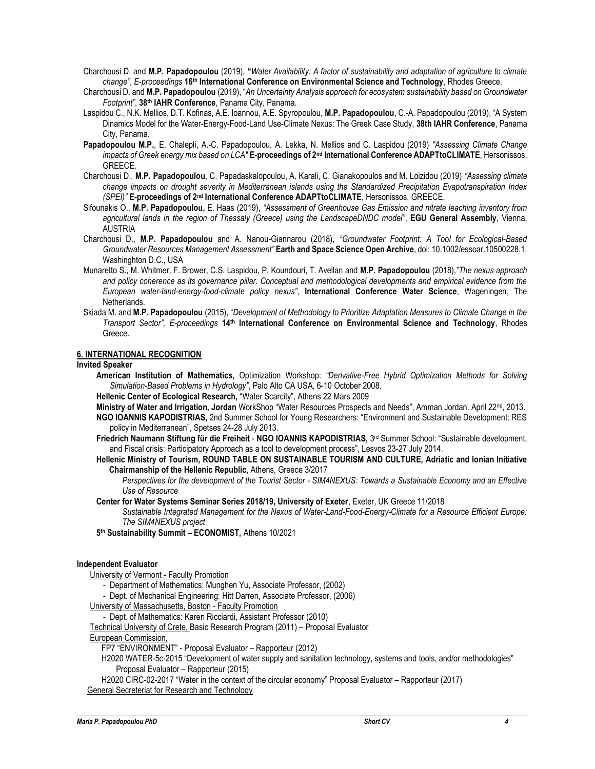Charchousi D. and M.P. Papadopoulou (2019), "Water Availability: A factor of sustainability and adaptation of agriculture to climate change", E-proceedings 16<sup>th</sup> International Conference on Environmental Science and Technology, Rhodes Greece.

- Charchousi D. and M.P. Papadopoulou (2019), "An Uncertainty Analysis approach for ecosystem sustainability based on Groundwater Footprint", 38th IAHR Conference, Panama City, Panama.
- Laspidou C., N.K. Mellios, D.T. Kofinas, A.E. Ioannou, A.E. Spyropoulou, M.P. Papadopoulou, C.-A. Papadopoulou (2019), "A System Dinamics Model for the Water-Energy-Food-Land Use-Climate Nexus: The Greek Case Study, 38th IAHR Conference, Panama City, Panama.
- Papadopoulou M.P., E. Chalepli, A.-C. Papadopoulou, A. Lekka, N. Mellios and C. Laspidou (2019) "Assessing Climate Change impacts of Greek energy mix based on LCA" E-proceedings of 2<sup>nd</sup> International Conference ADAPTtoCLIMATE, Hersonissos, GREECE.
- Charchousi D., M.P. Papadopoulou, C. Papadaskalopoulou, A. Karali, C. Gianakopoulos and M. Loizidou (2019) "Assessing climate change impacts on drought severity in Mediterranean islands using the Standardized Precipitation Evapotranspiration Index (SPEI)" E-proceedings of 2<sup>nd</sup> International Conference ADAPTtoCLIMATE, Hersonissos, GREECE.
- Sifounakis O., M.P. Papadopoulou, E. Haas (2019), "Assessment of Greenhouse Gas Emission and nitrate leaching inventory from agricultural lands in the region of Thessaly (Greece) using the LandscapeDNDC model", EGU General Assembly, Vienna, AUSTRIA
- Charchousi D., M.P. Papadopoulou and A. Nanou-Giannarou (2018), "Groundwater Footprint: A Tool for Ecological-Based Groundwater Resources Management Assessment" Earth and Space Science Open Archive, doi: 10.1002/essoar.10500228.1, Washinghton D.C., USA
- Munaretto S., M. Whitmer, F. Brower, C.S. Laspidou, P. Koundouri, T. Avellan and M.P. Papadopoulou (2018),"The nexus approach and policy coherence as its governance pillar. Conceptual and methodological developments and empirical evidence from the European water-land-energy-food-climate policy nexus", International Conference Water Science, Wageningen, The Netherlands.
- Skiada M. and M.P. Papadopoulou (2015), "Development of Methodology to Prioritize Adaptation Measures to Climate Change in the Transport Sector", E-proceedings 14th International Conference on Environmental Science and Technology, Rhodes Greece.

### 6. INTERNATIONAL RECOGNITION

### Invited Speaker

- American Institution of Mathematics, Optimization Workshop: "Derivative-Free Hybrid Optimization Methods for Solving Simulation-Based Problems in Hydrology", Palo Alto CA USA, 6-10 October 2008.
- Hellenic Center of Ecological Research, "Water Scarcity", Athens 22 Mars 2009
- Ministry of Water and Irrigation, Jordan WorkShop "Water Resources Prospects and Needs", Amman Jordan. April 22<sup>nd</sup>, 2013.
- NGO IOANNIS KAPODISTRIAS, 2nd Summer School for Young Researchers: "Environment and Sustainable Development: RES policy in Mediterranean", Spetses 24-28 July 2013.
- Friedrich Naumann Stiftung für die Freiheit NGO IOANNIS KAPODISTRIAS, 3<sup>rd</sup> Summer School: "Sustainable development, and Fiscal crisis: Participatory Approach as a tool to development process", Lesvos 23-27 July 2014.
- Hellenic Ministry of Tourism, ROUND TABLE ON SUSTAINABLE TOURISM AND CULTURE, Adriatic and Ionian Initiative Chairmanship of the Hellenic Republic, Athens, Greece 3/2017

Perspectives for the development of the Tourist Sector - SIM4NEXUS: Towards a Sustainable Economy and an Effective Use of Resource

Center for Water Systems Seminar Series 2018/19, University of Exeter, Exeter, UK Greece 11/2018

Sustainable Integrated Management for the Nexus of Water-Land-Food-Energy-Climate for a Resource Efficient Europe: The SIM4NEXUS project

5<sup>th</sup> Sustainability Summit - ECONOMIST, Athens 10/2021

### Independent Evaluator

- University of Vermont Faculty Promotion
	- Department of Mathematics: Munghen Yu, Associate Professor, (2002)
	- Dept. of Mechanical Engineering: Hitt Darren, Associate Professor, (2006)
- University of Massachusetts, Boston Faculty Promotion
	- Dept. of Mathematics: Karen Ricciardi, Assistant Professor (2010)

Technical University of Crete, Basic Research Program (2011) – Proposal Evaluator

European Commission,

FP7 "ENVIRONMENT" - Proposal Evaluator – Rapporteur (2012)

Η2020 WATER-5c-2015 "Development of water supply and sanitation technology, systems and tools, and/or methodologies" Proposal Evaluator – Rapporteur (2015)

H2020 CIRC-02-2017 "Water in the context of the circular economy" Proposal Evaluator – Rapporteur (2017) General Secreteriat for Research and Technology